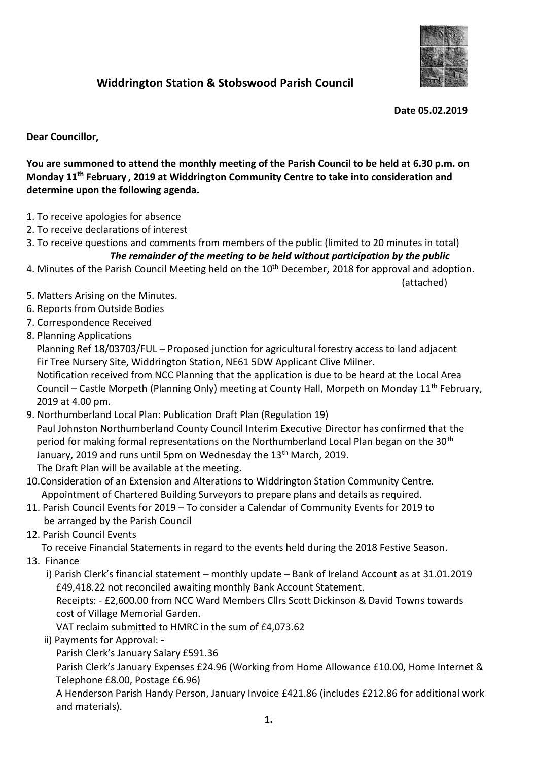

## **Widdrington Station & Stobswood Parish Council**

 **Date 05.02.2019**

**Dear Councillor,**

**You are summoned to attend the monthly meeting of the Parish Council to be held at 6.30 p.m. on Monday 11th February , 2019 at Widdrington Community Centre to take into consideration and determine upon the following agenda.**

- 1. To receive apologies for absence
- 2. To receive declarations of interest
- 3. To receive questions and comments from members of the public (limited to 20 minutes in total) *The remainder of the meeting to be held without participation by the public*
- 4. Minutes of the Parish Council Meeting held on the 10<sup>th</sup> December, 2018 for approval and adoption.
- (attached)
- 5. Matters Arising on the Minutes.
- 6. Reports from Outside Bodies
- 7. Correspondence Received
- 8. Planning Applications

 Planning Ref 18/03703/FUL – Proposed junction for agricultural forestry access to land adjacent Fir Tree Nursery Site, Widdrington Station, NE61 5DW Applicant Clive Milner.

 Notification received from NCC Planning that the application is due to be heard at the Local Area Council – Castle Morpeth (Planning Only) meeting at County Hall, Morpeth on Monday 11<sup>th</sup> February, 2019 at 4.00 pm.

- 9. Northumberland Local Plan: Publication Draft Plan (Regulation 19) Paul Johnston Northumberland County Council Interim Executive Director has confirmed that the period for making formal representations on the Northumberland Local Plan began on the 30<sup>th</sup> January, 2019 and runs until 5pm on Wednesday the 13<sup>th</sup> March, 2019. The Draft Plan will be available at the meeting.
- 10.Consideration of an Extension and Alterations to Widdrington Station Community Centre. Appointment of Chartered Building Surveyors to prepare plans and details as required.
- 11. Parish Council Events for 2019 To consider a Calendar of Community Events for 2019 to be arranged by the Parish Council
- 12. Parish Council Events

To receive Financial Statements in regard to the events held during the 2018 Festive Season.

13. Finance

i) Parish Clerk's financial statement – monthly update – Bank of Ireland Account as at 31.01.2019 £49,418.22 not reconciled awaiting monthly Bank Account Statement.

 Receipts: - £2,600.00 from NCC Ward Members Cllrs Scott Dickinson & David Towns towards cost of Village Memorial Garden.

VAT reclaim submitted to HMRC in the sum of £4,073.62

ii) Payments for Approval: -

Parish Clerk's January Salary £591.36

 Parish Clerk's January Expenses £24.96 (Working from Home Allowance £10.00, Home Internet & Telephone £8.00, Postage £6.96)

 A Henderson Parish Handy Person, January Invoice £421.86 (includes £212.86 for additional work and materials).